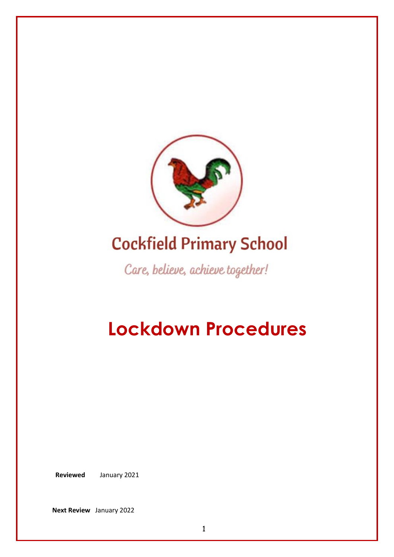

# **Cockfield Primary School**

Care, believe, achieve together!

# **Lockdown Procedures**

 **Reviewed** January 2021

**Next Review** January 2022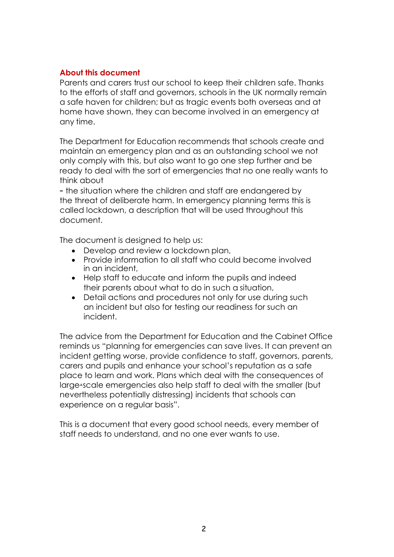#### **About this document**

Parents and carers trust our school to keep their children safe. Thanks to the efforts of staff and governors, schools in the UK normally remain a safe haven for children; but as tragic events both overseas and at home have shown, they can become involved in an emergency at any time.

The Department for Education recommends that schools create and maintain an emergency plan and as an outstanding school we not only comply with this, but also want to go one step further and be ready to deal with the sort of emergencies that no one really wants to think about

– the situation where the children and staff are endangered by the threat of deliberate harm. In emergency planning terms this is called lockdown, a description that will be used throughout this document.

The document is designed to help us:

- Develop and review a lockdown plan,
- Provide information to all staff who could become involved in an incident,
- Help staff to educate and inform the pupils and indeed their parents about what to do in such a situation,
- Detail actions and procedures not only for use during such an incident but also for testing our readiness for such an incident.

The advice from the Department for Education and the Cabinet Office reminds us "planning for emergencies can save lives. It can prevent an incident getting worse, provide confidence to staff, governors, parents, carers and pupils and enhance your school's reputation as a safe place to learn and work. Plans which deal with the consequences of large-scale emergencies also help staff to deal with the smaller (but nevertheless potentially distressing) incidents that schools can experience on a regular basis".

This is a document that every good school needs, every member of staff needs to understand, and no one ever wants to use.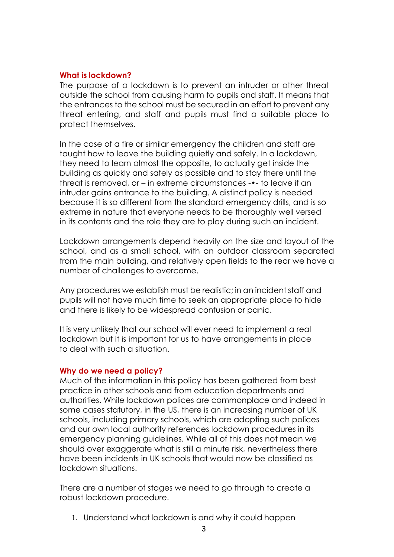#### **What is lockdown?**

The purpose of a lockdown is to prevent an intruder or other threat outside the school from causing harm to pupils and staff. It means that the entrances to the school must be secured in an effort to prevent any threat entering, and staff and pupils must find a suitable place to protect themselves.

In the case of a fire or similar emergency the children and staff are taught how to leave the building quietly and safely. In a lockdown, they need to learn almost the opposite, to actually get inside the building as quickly and safely as possible and to stay there until the threat is removed, or – in extreme circumstances -•‐ to leave if an intruder gains entrance to the building. A distinct policy is needed because it is so different from the standard emergency drills, and is so extreme in nature that everyone needs to be thoroughly well versed in its contents and the role they are to play during such an incident.

Lockdown arrangements depend heavily on the size and layout of the school, and as a small school, with an outdoor classroom separated from the main building, and relatively open fields to the rear we have a number of challenges to overcome.

Any procedures we establish must be realistic; in an incident staff and pupils will not have much time to seek an appropriate place to hide and there is likely to be widespread confusion or panic.

It is very unlikely that our school will ever need to implement a real lockdown but it is important for us to have arrangements in place to deal with such a situation.

#### **Why do we need a policy?**

Much of the information in this policy has been gathered from best practice in other schools and from education departments and authorities. While lockdown polices are commonplace and indeed in some cases statutory, in the US, there is an increasing number of UK schools, including primary schools, which are adopting such polices and our own local authority references lockdown procedures in its emergency planning guidelines. While all of this does not mean we should over exaggerate what is still a minute risk, nevertheless there have been incidents in UK schools that would now be classified as lockdown situations.

There are a number of stages we need to go through to create a robust lockdown procedure.

1. Understand what lockdown is and why it could happen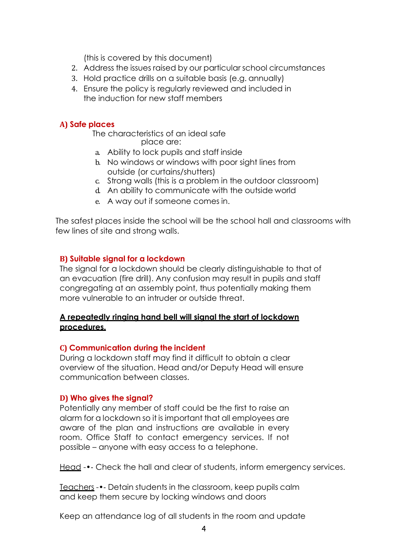(this is covered by this document)

- 2. Address the issues raised by our particular school circumstances
- 3. Hold practice drills on a suitable basis (e.g. annually)
- 4. Ensure the policy is regularly reviewed and included in the induction for new staff members

# **A) Safe places**

The characteristics of an ideal safe place are:

- a. Ability to lock pupils and staff inside
- b. No windows or windows with poor sight lines from outside (or curtains/shutters)
- c. Strong walls (this is a problem in the outdoor classroom)
- d. An ability to communicate with the outside world
- e. A way out if someone comes in.

The safest places inside the school will be the school hall and classrooms with few lines of site and strong walls.

# **B) Suitable signal for a lockdown**

The signal for a lockdown should be clearly distinguishable to that of an evacuation (fire drill). Any confusion may result in pupils and staff congregating at an assembly point, thus potentially making them more vulnerable to an intruder or outside threat.

#### **A repeatedly ringing hand bell will signal the start of lockdown procedures.**

#### **C) Communication during the incident**

During a lockdown staff may find it difficult to obtain a clear overview of the situation. Head and/or Deputy Head will ensure communication between classes.

#### **D) Who gives the signal?**

Potentially any member of staff could be the first to raise an alarm for a lockdown so it is important that all employees are aware of the plan and instructions are available in every room. Office Staff to contact emergency services. If not possible – anyone with easy access to a telephone.

Head -•‐ Check the hall and clear of students, inform emergency services.

Teachers -•‐ Detain students in the classroom, keep pupils calm and keep them secure by locking windows and doors

Keep an attendance log of all students in the room and update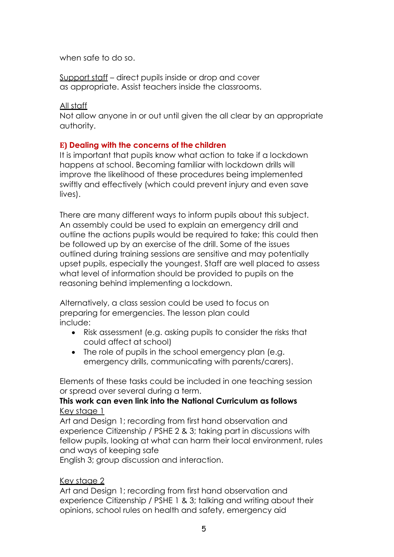when safe to do so.

Support staff – direct pupils inside or drop and cover as appropriate. Assist teachers inside the classrooms.

#### All staff

Not allow anyone in or out until given the all clear by an appropriate authority.

# **E) Dealing with the concerns of the children**

It is important that pupils know what action to take if a lockdown happens at school. Becoming familiar with lockdown drills will improve the likelihood of these procedures being implemented swiftly and effectively (which could prevent injury and even save lives).

There are many different ways to inform pupils about this subject. An assembly could be used to explain an emergency drill and outline the actions pupils would be required to take; this could then be followed up by an exercise of the drill. Some of the issues outlined during training sessions are sensitive and may potentially upset pupils, especially the youngest. Staff are well placed to assess what level of information should be provided to pupils on the reasoning behind implementing a lockdown.

Alternatively, a class session could be used to focus on preparing for emergencies. The lesson plan could include:

- Risk assessment (e.g. asking pupils to consider the risks that could affect at school)
- The role of pupils in the school emergency plan (e.g. emergency drills, communicating with parents/carers).

Elements of these tasks could be included in one teaching session or spread over several during a term.

# **This work can even link into the National Curriculum as follows** Key stage 1

Art and Design 1; recording from first hand observation and experience Citizenship / PSHE 2 & 3; taking part in discussions with fellow pupils, looking at what can harm their local environment, rules and ways of keeping safe

English 3; group discussion and interaction.

# Key stage 2

Art and Design 1; recording from first hand observation and experience Citizenship / PSHE 1 & 3; talking and writing about their opinions, school rules on health and safety, emergency aid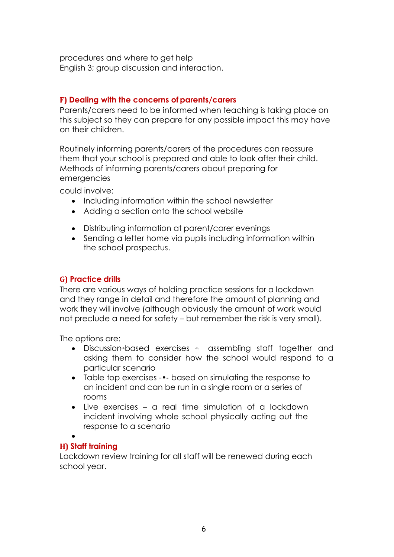procedures and where to get help English 3; group discussion and interaction.

# **F) Dealing with the concerns of parents/carers**

Parents/carers need to be informed when teaching is taking place on this subject so they can prepare for any possible impact this may have on their children.

Routinely informing parents/carers of the procedures can reassure them that your school is prepared and able to look after their child. Methods of informing parents/carers about preparing for emergencies

could involve:

- Including information within the school newsletter
- Adding a section onto the school website
- Distributing information at parent/carer evenings
- Sending a letter home via pupils including information within the school prospectus.

# **G) Practice drills**

There are various ways of holding practice sessions for a lockdown and they range in detail and therefore the amount of planning and work they will involve (although obviously the amount of work would not preclude a need for safety – but remember the risk is very small).

The options are:

- Discussion-based exercises assembling staff together and asking them to consider how the school would respond to a particular scenario
- Table top exercises -•‐ based on simulating the response to an incident and can be run in a single room or a series of rooms
- Live exercises a real time simulation of a lockdown incident involving whole school physically acting out the response to a scenario

•

# **H) Staff training**

Lockdown review training for all staff will be renewed during each school year.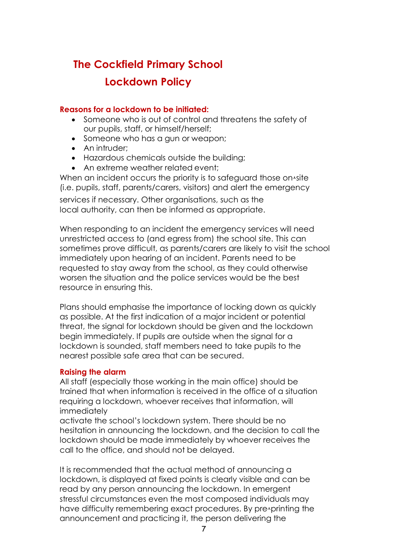# **The Cockfield Primary School Lockdown Policy**

# **Reasons for a lockdown to be initiated:**

- Someone who is out of control and threatens the safety of our pupils, staff, or himself/herself;
- Someone who has a gun or weapon;
- An intruder;
- Hazardous chemicals outside the building;
- An extreme weather related event:

When an incident occurs the priority is to safeguard those on-site (i.e. pupils, staff, parents/carers, visitors) and alert the emergency services if necessary. Other organisations, such as the local authority, can then be informed as appropriate.

When responding to an incident the emergency services will need unrestricted access to (and egress from) the school site. This can sometimes prove difficult, as parents/carers are likely to visit the school immediately upon hearing of an incident. Parents need to be requested to stay away from the school, as they could otherwise worsen the situation and the police services would be the best resource in ensuring this.

Plans should emphasise the importance of locking down as quickly as possible. At the first indication of a major incident or potential threat, the signal for lockdown should be given and the lockdown begin immediately. If pupils are outside when the signal for a lockdown is sounded, staff members need to take pupils to the nearest possible safe area that can be secured.

# **Raising the alarm**

All staff (especially those working in the main office) should be trained that when information is received in the office of a situation requiring a lockdown, whoever receives that information, will immediately

activate the school's lockdown system. There should be no hesitation in announcing the lockdown, and the decision to call the lockdown should be made immediately by whoever receives the call to the office, and should not be delayed.

It is recommended that the actual method of announcing a lockdown, is displayed at fixed points is clearly visible and can be read by any person announcing the lockdown. In emergent stressful circumstances even the most composed individuals may have difficulty remembering exact procedures. By pre-printing the announcement and practicing it, the person delivering the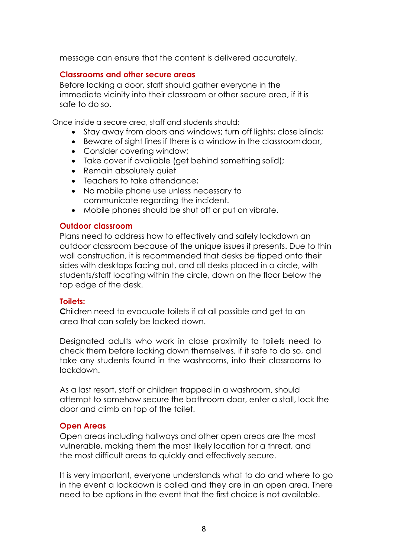message can ensure that the content is delivered accurately.

# **Classrooms and other secure areas**

Before locking a door, staff should gather everyone in the immediate vicinity into their classroom or other secure area, if it is safe to do so.

Once inside a secure area, staff and students should;

- Stay away from doors and windows; turn off lights; close blinds;
- Beware of sight lines if there is a window in the classroomdoor,
- Consider covering window;
- Take cover if available (get behind something solid);
- Remain absolutely quiet
- Teachers to take attendance;
- No mobile phone use unless necessary to communicate regarding the incident.
- Mobile phones should be shut off or put on vibrate.

#### **Outdoor classroom**

Plans need to address how to effectively and safely lockdown an outdoor classroom because of the unique issues it presents. Due to thin wall construction, it is recommended that desks be tipped onto their sides with desktops facing out, and all desks placed in a circle, with students/staff locating within the circle, down on the floor below the top edge of the desk.

#### **Toilets:**

**C**hildren need to evacuate toilets if at all possible and get to an area that can safely be locked down.

Designated adults who work in close proximity to toilets need to check them before locking down themselves, if it safe to do so, and take any students found in the washrooms, into their classrooms to lockdown.

As a last resort, staff or children trapped in a washroom, should attempt to somehow secure the bathroom door, enter a stall, lock the door and climb on top of the toilet.

#### **Open Areas**

Open areas including hallways and other open areas are the most vulnerable, making them the most likely location for a threat, and the most difficult areas to quickly and effectively secure.

It is very important, everyone understands what to do and where to go in the event a lockdown is called and they are in an open area. There need to be options in the event that the first choice is not available.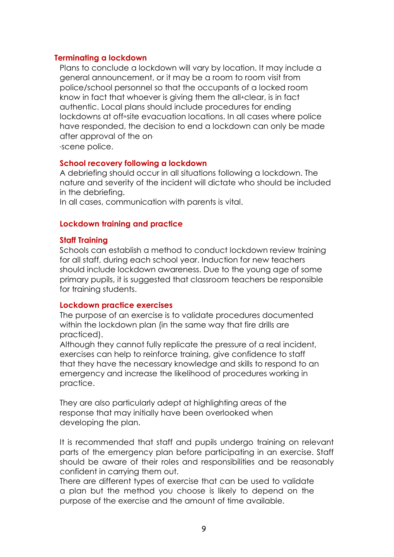#### **Terminating a lockdown**

Plans to conclude a lockdown will vary by location. It may include a general announcement, or it may be a room to room visit from police/school personnel so that the occupants of a locked room know in fact that whoever is giving them the all-clear, is in fact authentic. Local plans should include procedures for ending lockdowns at off-site evacuation locations. In all cases where police have responded, the decision to end a lockdown can only be made after approval of the on-

•‐scene police.

#### **School recovery following a lockdown**

A debriefing should occur in all situations following a lockdown. The nature and severity of the incident will dictate who should be included in the debriefing.

In all cases, communication with parents is vital.

#### **Lockdown training and practice**

#### **Staff Training**

Schools can establish a method to conduct lockdown review training for all staff, during each school year. Induction for new teachers should include lockdown awareness. Due to the young age of some primary pupils, it is suggested that classroom teachers be responsible for training students.

#### **Lockdown practice exercises**

The purpose of an exercise is to validate procedures documented within the lockdown plan (in the same way that fire drills are practiced).

Although they cannot fully replicate the pressure of a real incident, exercises can help to reinforce training, give confidence to staff that they have the necessary knowledge and skills to respond to an emergency and increase the likelihood of procedures working in practice.

They are also particularly adept at highlighting areas of the response that may initially have been overlooked when developing the plan.

It is recommended that staff and pupils undergo training on relevant parts of the emergency plan before participating in an exercise. Staff should be aware of their roles and responsibilities and be reasonably confident in carrying them out.

There are different types of exercise that can be used to validate a plan but the method you choose is likely to depend on the purpose of the exercise and the amount of time available.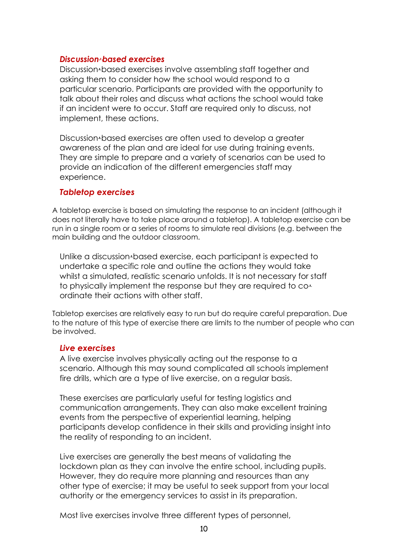# *Discussion-•*‐*based exercises*

Discussion-based exercises involve assembling staff together and asking them to consider how the school would respond to a particular scenario. Participants are provided with the opportunity to talk about their roles and discuss what actions the school would take if an incident were to occur. Staff are required only to discuss, not implement, these actions.

Discussion-based exercises are often used to develop a greater awareness of the plan and are ideal for use during training events. They are simple to prepare and a variety of scenarios can be used to provide an indication of the different emergencies staff may experience.

#### *Tabletop exercises*

A tabletop exercise is based on simulating the response to an incident (although it does not literally have to take place around a tabletop). A tabletop exercise can be run in a single room or a series of rooms to simulate real divisions (e.g. between the main building and the outdoor classroom.

Unlike a discussion-based exercise, each participant is expected to undertake a specific role and outline the actions they would take whilst a simulated, realistic scenario unfolds. It is not necessary for staff to physically implement the response but they are required to coordinate their actions with other staff.

Tabletop exercises are relatively easy to run but do require careful preparation. Due to the nature of this type of exercise there are limits to the number of people who can be involved.

#### *Live exercises*

A live exercise involves physically acting out the response to a scenario. Although this may sound complicated all schools implement fire drills, which are a type of live exercise, on a regular basis.

These exercises are particularly useful for testing logistics and communication arrangements. They can also make excellent training events from the perspective of experiential learning, helping participants develop confidence in their skills and providing insight into the reality of responding to an incident.

Live exercises are generally the best means of validating the lockdown plan as they can involve the entire school, including pupils. However, they do require more planning and resources than any other type of exercise; it may be useful to seek support from your local authority or the emergency services to assist in its preparation.

Most live exercises involve three different types of personnel,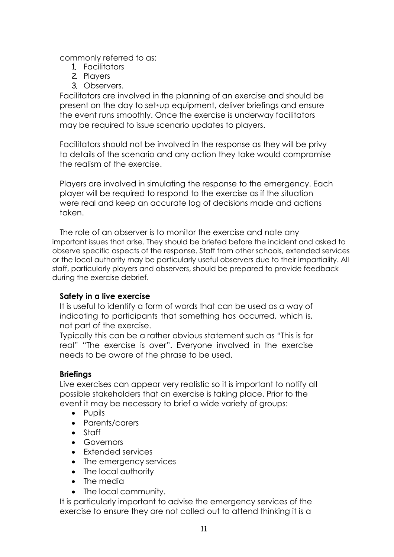commonly referred to as:

- 1. Facilitators
- 2. Players
- 3. Observers.

Facilitators are involved in the planning of an exercise and should be present on the day to set-up equipment, deliver briefings and ensure the event runs smoothly. Once the exercise is underway facilitators may be required to issue scenario updates to players.

Facilitators should not be involved in the response as they will be privy to details of the scenario and any action they take would compromise the realism of the exercise.

Players are involved in simulating the response to the emergency. Each player will be required to respond to the exercise as if the situation were real and keep an accurate log of decisions made and actions taken.

The role of an observer is to monitor the exercise and note any important issues that arise. They should be briefed before the incident and asked to observe specific aspects of the response. Staff from other schools, extended services or the local authority may be particularly useful observers due to their impartiality. All staff, particularly players and observers, should be prepared to provide feedback during the exercise debrief.

# **Safety in a live exercise**

It is useful to identify a form of words that can be used as a way of indicating to participants that something has occurred, which is, not part of the exercise.

Typically this can be a rather obvious statement such as "This is for real" "The exercise is over". Everyone involved in the exercise needs to be aware of the phrase to be used.

#### **Briefings**

Live exercises can appear very realistic so it is important to notify all possible stakeholders that an exercise is taking place. Prior to the event it may be necessary to brief a wide variety of groups:

- Pupils
- Parents/carers
- Staff
- Governors
- Extended services
- The emergency services
- The local authority
- The media
- The local community.

It is particularly important to advise the emergency services of the exercise to ensure they are not called out to attend thinking it is a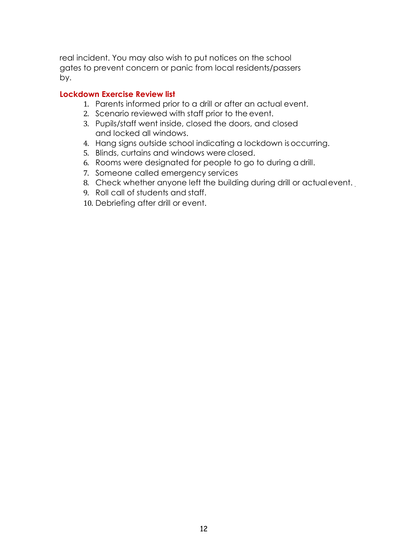real incident. You may also wish to put notices on the school gates to prevent concern or panic from local residents/passers by.

# **Lockdown Exercise Review list**

- 1. Parents informed prior to a drill or after an actual event.
- 2. Scenario reviewed with staff prior to the event.
- 3. Pupils/staff went inside, closed the doors, and closed and locked all windows.
- 4. Hang signs outside school indicating a lockdown isoccurring.
- 5. Blinds, curtains and windows were closed.
- 6. Rooms were designated for people to go to during a drill.
- 7. Someone called emergency services
- 8. Check whether anyone left the building during drill or actualevent.
- 9. Roll call of students and staff.
- 10. Debriefing after drill or event.